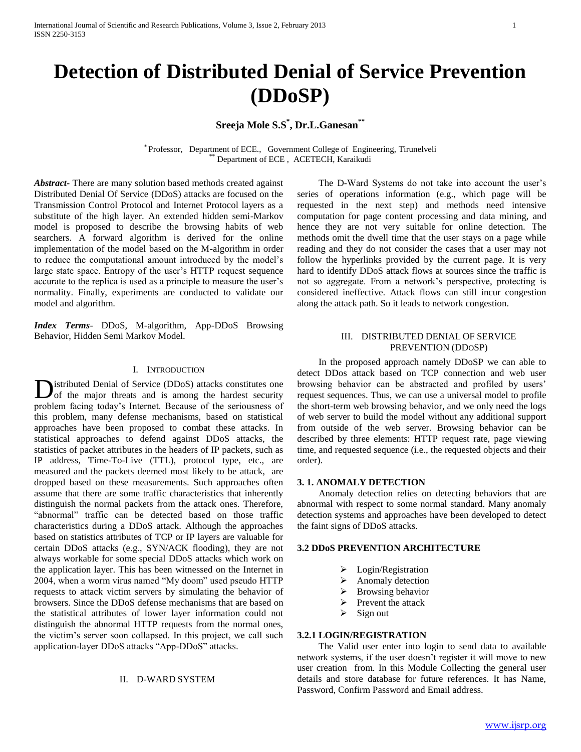# **Sreeja Mole S.S\* , Dr.L.Ganesan\*\***

\* Professor, Department of ECE., Government College of Engineering, Tirunelveli Department of ECE, ACETECH, Karaikudi

*Abstract***-** There are many solution based methods created against Distributed Denial Of Service (DDoS) attacks are focused on the Transmission Control Protocol and Internet Protocol layers as a substitute of the high layer. An extended hidden semi-Markov model is proposed to describe the browsing habits of web searchers. A forward algorithm is derived for the online implementation of the model based on the M-algorithm in order to reduce the computational amount introduced by the model's large state space. Entropy of the user's HTTP request sequence accurate to the replica is used as a principle to measure the user's normality. Finally, experiments are conducted to validate our model and algorithm.

*Index Terms*- DDoS, M-algorithm, App-DDoS Browsing Behavior, Hidden Semi Markov Model.

#### I. INTRODUCTION

istributed Denial of Service (DDoS) attacks constitutes one **D**istributed Denial of Service (DDoS) attacks constitutes one<br>of the major threats and is among the hardest security problem facing today's Internet. Because of the seriousness of this problem, many defense mechanisms, based on statistical approaches have been proposed to combat these attacks. In statistical approaches to defend against DDoS attacks, the statistics of packet attributes in the headers of IP packets, such as IP address, Time-To-Live (TTL), protocol type, etc., are measured and the packets deemed most likely to be attack, are dropped based on these measurements. Such approaches often assume that there are some traffic characteristics that inherently distinguish the normal packets from the attack ones. Therefore, "abnormal" traffic can be detected based on those traffic characteristics during a DDoS attack. Although the approaches based on statistics attributes of TCP or IP layers are valuable for certain DDoS attacks (e.g., SYN/ACK flooding), they are not always workable for some special DDoS attacks which work on the application layer. This has been witnessed on the Internet in 2004, when a worm virus named "My doom" used pseudo HTTP requests to attack victim servers by simulating the behavior of browsers. Since the DDoS defense mechanisms that are based on the statistical attributes of lower layer information could not distinguish the abnormal HTTP requests from the normal ones, the victim's server soon collapsed. In this project, we call such application-layer DDoS attacks "App-DDoS" attacks.

### II. D-WARD SYSTEM

 The D-Ward Systems do not take into account the user's series of operations information (e.g., which page will be requested in the next step) and methods need intensive computation for page content processing and data mining, and hence they are not very suitable for online detection. The methods omit the dwell time that the user stays on a page while reading and they do not consider the cases that a user may not follow the hyperlinks provided by the current page. It is very hard to identify DDoS attack flows at sources since the traffic is not so aggregate. From a network's perspective, protecting is considered ineffective. Attack flows can still incur congestion along the attack path. So it leads to network congestion.

### III. DISTRIBUTED DENIAL OF SERVICE PREVENTION (DDOSP)

 In the proposed approach namely DDoSP we can able to detect DDos attack based on TCP connection and web user browsing behavior can be abstracted and profiled by users' request sequences. Thus, we can use a universal model to profile the short-term web browsing behavior, and we only need the logs of web server to build the model without any additional support from outside of the web server. Browsing behavior can be described by three elements: HTTP request rate, page viewing time, and requested sequence (i.e., the requested objects and their order).

## **3. 1. ANOMALY DETECTION**

 Anomaly detection relies on detecting behaviors that are abnormal with respect to some normal standard. Many anomaly detection systems and approaches have been developed to detect the faint signs of DDoS attacks.

## **3.2 DDoS PREVENTION ARCHITECTURE**

- Login/Registration
- Anomaly detection
- Browsing behavior
- Prevent the attack
- $\triangleright$  Sign out

#### **3.2.1 LOGIN/REGISTRATION**

 The Valid user enter into login to send data to available network systems, if the user doesn't register it will move to new user creation from. In this Module Collecting the general user details and store database for future references. It has Name, Password, Confirm Password and Email address.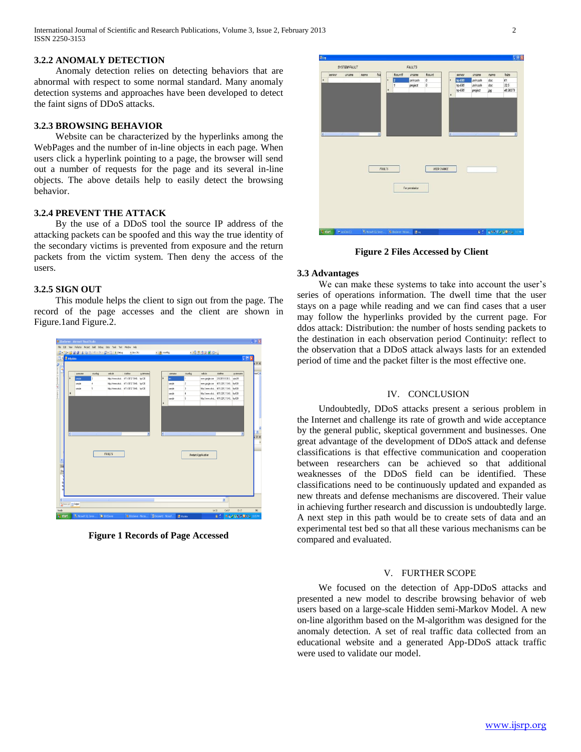International Journal of Scientific and Research Publications, Volume 3, Issue 2, February 2013 2 ISSN 2250-3153

#### **3.2.2 ANOMALY DETECTION**

 Anomaly detection relies on detecting behaviors that are abnormal with respect to some normal standard. Many anomaly detection systems and approaches have been developed to detect the faint signs of DDoS attacks.

## **3.2.3 BROWSING BEHAVIOR**

 Website can be characterized by the hyperlinks among the WebPages and the number of in-line objects in each page. When users click a hyperlink pointing to a page, the browser will send out a number of requests for the page and its several in-line objects. The above details help to easily detect the browsing behavior.

## **3.2.4 PREVENT THE ATTACK**

 By the use of a DDoS tool the source IP address of the attacking packets can be spoofed and this way the true identity of the secondary victims is prevented from exposure and the return packets from the victim system. Then deny the access of the users.

## **3.2.5 SIGN OUT**

 This module helps the client to sign out from the page. The record of the page accesses and the client are shown in Figure.1and Figure.2.



**Figure 1 Records of Page Accessed**



**Figure 2 Files Accessed by Client**

#### **3.3 Advantages**

 We can make these systems to take into account the user's series of operations information. The dwell time that the user stays on a page while reading and we can find cases that a user may follow the hyperlinks provided by the current page. For ddos attack: Distribution: the number of hosts sending packets to the destination in each observation period Continuit*y*: reflect to the observation that a DDoS attack always lasts for an extended period of time and the packet filter is the most effective one.

## IV. CONCLUSION

 Undoubtedly, DDoS attacks present a serious problem in the Internet and challenge its rate of growth and wide acceptance by the general public, skeptical government and businesses. One great advantage of the development of DDoS attack and defense classifications is that effective communication and cooperation between researchers can be achieved so that additional weaknesses of the DDoS field can be identified. These classifications need to be continuously updated and expanded as new threats and defense mechanisms are discovered. Their value in achieving further research and discussion is undoubtedly large. A next step in this path would be to create sets of data and an experimental test bed so that all these various mechanisms can be compared and evaluated.

#### V. FURTHER SCOPE

 We focused on the detection of App-DDoS attacks and presented a new model to describe browsing behavior of web users based on a large-scale Hidden semi-Markov Model. A new on-line algorithm based on the M-algorithm was designed for the anomaly detection. A set of real traffic data collected from an educational website and a generated App-DDoS attack traffic were used to validate our model.